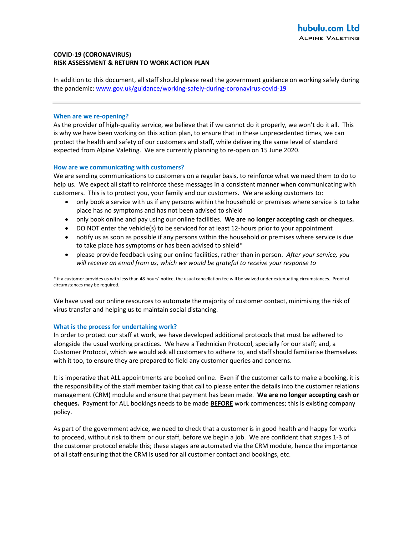# COVID-19 (CORONAVIRUS) RISK ASSESSMENT & RETURN TO WORK ACTION PLAN

In addition to this document, all staff should please read the government guidance on working safely during the pandemic: www.gov.uk/guidance/working-safely-during-coronavirus-covid-19

### When are we re-opening?

As the provider of high-quality service, we believe that if we cannot do it properly, we won't do it all. This is why we have been working on this action plan, to ensure that in these unprecedented times, we can protect the health and safety of our customers and staff, while delivering the same level of standard expected from Alpine Valeting. We are currently planning to re-open on 15 June 2020.

### How are we communicating with customers?

We are sending communications to customers on a regular basis, to reinforce what we need them to do to help us. We expect all staff to reinforce these messages in a consistent manner when communicating with customers. This is to protect you, your family and our customers. We are asking customers to:

- only book a service with us if any persons within the household or premises where service is to take place has no symptoms and has not been advised to shield
- only book online and pay using our online facilities. We are no longer accepting cash or cheques.
- DO NOT enter the vehicle(s) to be serviced for at least 12-hours prior to your appointment
- notify us as soon as possible if any persons within the household or premises where service is due to take place has symptoms or has been advised to shield\*
- please provide feedback using our online facilities, rather than in person. After your service, you will receive an email from us, which we would be grateful to receive your response to

\* if a customer provides us with less than 48-hours' notice, the usual cancellation fee will be waived under extenuating circumstances. Proof of circumstances may be required.

We have used our online resources to automate the majority of customer contact, minimising the risk of virus transfer and helping us to maintain social distancing.

## What is the process for undertaking work?

In order to protect our staff at work, we have developed additional protocols that must be adhered to alongside the usual working practices. We have a Technician Protocol, specially for our staff; and, a Customer Protocol, which we would ask all customers to adhere to, and staff should familiarise themselves with it too, to ensure they are prepared to field any customer queries and concerns.

It is imperative that ALL appointments are booked online. Even if the customer calls to make a booking, it is the responsibility of the staff member taking that call to please enter the details into the customer relations management (CRM) module and ensure that payment has been made. We are no longer accepting cash or cheques. Payment for ALL bookings needs to be made **BEFORE** work commences; this is existing company policy.

As part of the government advice, we need to check that a customer is in good health and happy for works to proceed, without risk to them or our staff, before we begin a job. We are confident that stages 1-3 of the customer protocol enable this; these stages are automated via the CRM module, hence the importance of all staff ensuring that the CRM is used for all customer contact and bookings, etc.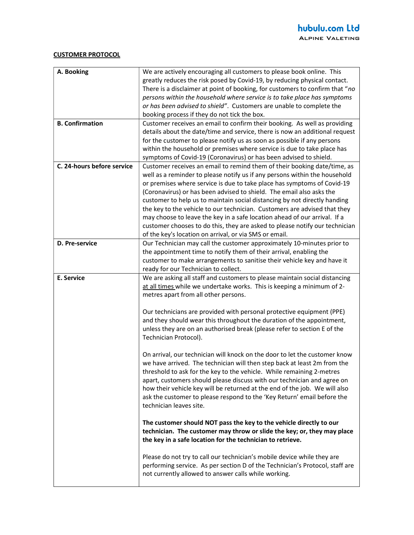## CUSTOMER PROTOCOL

| A. Booking                 | We are actively encouraging all customers to please book online. This<br>greatly reduces the risk posed by Covid-19, by reducing physical contact. |
|----------------------------|----------------------------------------------------------------------------------------------------------------------------------------------------|
|                            |                                                                                                                                                    |
|                            | There is a disclaimer at point of booking, for customers to confirm that "no                                                                       |
|                            | persons within the household where service is to take place has symptoms                                                                           |
|                            | or has been advised to shield". Customers are unable to complete the                                                                               |
|                            | booking process if they do not tick the box.                                                                                                       |
| <b>B. Confirmation</b>     | Customer receives an email to confirm their booking. As well as providing                                                                          |
|                            | details about the date/time and service, there is now an additional request                                                                        |
|                            | for the customer to please notify us as soon as possible if any persons                                                                            |
|                            | within the household or premises where service is due to take place has                                                                            |
|                            | symptoms of Covid-19 (Coronavirus) or has been advised to shield.                                                                                  |
| C. 24-hours before service | Customer receives an email to remind them of their booking date/time, as                                                                           |
|                            | well as a reminder to please notify us if any persons within the household                                                                         |
|                            | or premises where service is due to take place has symptoms of Covid-19                                                                            |
|                            | (Coronavirus) or has been advised to shield. The email also asks the                                                                               |
|                            | customer to help us to maintain social distancing by not directly handing                                                                          |
|                            | the key to the vehicle to our technician. Customers are advised that they                                                                          |
|                            | may choose to leave the key in a safe location ahead of our arrival. If a                                                                          |
|                            | customer chooses to do this, they are asked to please notify our technician                                                                        |
|                            | of the key's location on arrival, or via SMS or email.                                                                                             |
| D. Pre-service             | Our Technician may call the customer approximately 10-minutes prior to                                                                             |
|                            | the appointment time to notify them of their arrival, enabling the                                                                                 |
|                            |                                                                                                                                                    |
|                            | customer to make arrangements to sanitise their vehicle key and have it                                                                            |
|                            | ready for our Technician to collect.                                                                                                               |
|                            |                                                                                                                                                    |
| E. Service                 | We are asking all staff and customers to please maintain social distancing                                                                         |
|                            | at all times while we undertake works. This is keeping a minimum of 2-                                                                             |
|                            | metres apart from all other persons.                                                                                                               |
|                            |                                                                                                                                                    |
|                            | Our technicians are provided with personal protective equipment (PPE)                                                                              |
|                            | and they should wear this throughout the duration of the appointment,                                                                              |
|                            | unless they are on an authorised break (please refer to section E of the                                                                           |
|                            | Technician Protocol).                                                                                                                              |
|                            |                                                                                                                                                    |
|                            | On arrival, our technician will knock on the door to let the customer know                                                                         |
|                            | we have arrived. The technician will then step back at least 2m from the                                                                           |
|                            | threshold to ask for the key to the vehicle. While remaining 2-metres                                                                              |
|                            | apart, customers should please discuss with our technician and agree on                                                                            |
|                            | how their vehicle key will be returned at the end of the job. We will also                                                                         |
|                            | ask the customer to please respond to the 'Key Return' email before the                                                                            |
|                            | technician leaves site.                                                                                                                            |
|                            |                                                                                                                                                    |
|                            | The customer should NOT pass the key to the vehicle directly to our                                                                                |
|                            | technician. The customer may throw or slide the key; or, they may place                                                                            |
|                            | the key in a safe location for the technician to retrieve.                                                                                         |
|                            |                                                                                                                                                    |
|                            | Please do not try to call our technician's mobile device while they are                                                                            |
|                            | performing service. As per section D of the Technician's Protocol, staff are                                                                       |
|                            | not currently allowed to answer calls while working.                                                                                               |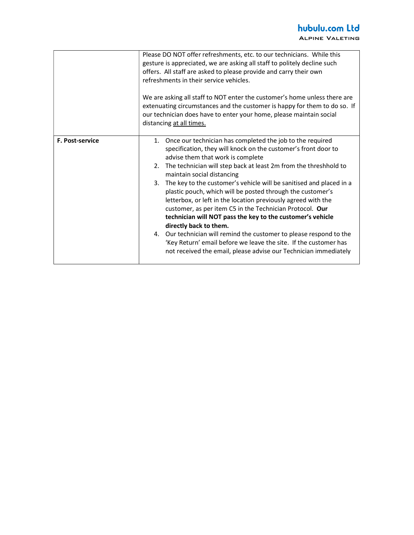|                        | Please DO NOT offer refreshments, etc. to our technicians. While this<br>gesture is appreciated, we are asking all staff to politely decline such<br>offers. All staff are asked to please provide and carry their own<br>refreshments in their service vehicles.<br>We are asking all staff to NOT enter the customer's home unless there are<br>extenuating circumstances and the customer is happy for them to do so. If<br>our technician does have to enter your home, please maintain social<br>distancing at all times.                                                                                                                                                                                                                                                                                                                             |
|------------------------|------------------------------------------------------------------------------------------------------------------------------------------------------------------------------------------------------------------------------------------------------------------------------------------------------------------------------------------------------------------------------------------------------------------------------------------------------------------------------------------------------------------------------------------------------------------------------------------------------------------------------------------------------------------------------------------------------------------------------------------------------------------------------------------------------------------------------------------------------------|
| <b>F. Post-service</b> | 1. Once our technician has completed the job to the required<br>specification, they will knock on the customer's front door to<br>advise them that work is complete<br>The technician will step back at least 2m from the threshhold to<br>2.<br>maintain social distancing<br>The key to the customer's vehicle will be sanitised and placed in a<br>3.<br>plastic pouch, which will be posted through the customer's<br>letterbox, or left in the location previously agreed with the<br>customer, as per item C5 in the Technician Protocol. Our<br>technician will NOT pass the key to the customer's vehicle<br>directly back to them.<br>4. Our technician will remind the customer to please respond to the<br>'Key Return' email before we leave the site. If the customer has<br>not received the email, please advise our Technician immediately |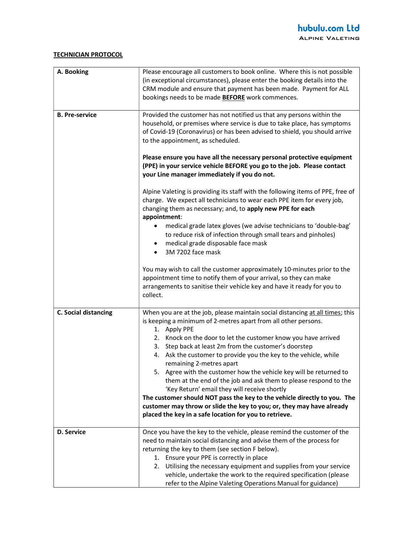# TECHNICIAN PROTOCOL

| A. Booking            | Please encourage all customers to book online. Where this is not possible<br>(in exceptional circumstances), please enter the booking details into the                                                                                                                                                                                                                                                                                                                  |
|-----------------------|-------------------------------------------------------------------------------------------------------------------------------------------------------------------------------------------------------------------------------------------------------------------------------------------------------------------------------------------------------------------------------------------------------------------------------------------------------------------------|
|                       | CRM module and ensure that payment has been made. Payment for ALL<br>bookings needs to be made <b>BEFORE</b> work commences.                                                                                                                                                                                                                                                                                                                                            |
| <b>B. Pre-service</b> | Provided the customer has not notified us that any persons within the<br>household, or premises where service is due to take place, has symptoms<br>of Covid-19 (Coronavirus) or has been advised to shield, you should arrive<br>to the appointment, as scheduled.<br>Please ensure you have all the necessary personal protective equipment<br>(PPE) in your service vehicle BEFORE you go to the job. Please contact<br>your Line manager immediately if you do not. |
|                       | Alpine Valeting is providing its staff with the following items of PPE, free of<br>charge. We expect all technicians to wear each PPE item for every job,<br>changing them as necessary; and, to apply new PPE for each<br>appointment:<br>medical grade latex gloves (we advise technicians to 'double-bag'<br>٠                                                                                                                                                       |
|                       | to reduce risk of infection through small tears and pinholes)<br>medical grade disposable face mask<br>3M 7202 face mask<br>$\bullet$                                                                                                                                                                                                                                                                                                                                   |
|                       | You may wish to call the customer approximately 10-minutes prior to the<br>appointment time to notify them of your arrival, so they can make<br>arrangements to sanitise their vehicle key and have it ready for you to<br>collect.                                                                                                                                                                                                                                     |
| C. Social distancing  | When you are at the job, please maintain social distancing at all times; this<br>is keeping a minimum of 2-metres apart from all other persons.<br>1. Apply PPE                                                                                                                                                                                                                                                                                                         |
|                       | 2. Knock on the door to let the customer know you have arrived                                                                                                                                                                                                                                                                                                                                                                                                          |
|                       | 3. Step back at least 2m from the customer's doorstep<br>4. Ask the customer to provide you the key to the vehicle, while<br>remaining 2-metres apart                                                                                                                                                                                                                                                                                                                   |
|                       | 5. Agree with the customer how the vehicle key will be returned to                                                                                                                                                                                                                                                                                                                                                                                                      |
|                       | them at the end of the job and ask them to please respond to the<br>'Key Return' email they will receive shortly                                                                                                                                                                                                                                                                                                                                                        |
|                       | The customer should NOT pass the key to the vehicle directly to you. The                                                                                                                                                                                                                                                                                                                                                                                                |
|                       | customer may throw or slide the key to you; or, they may have already<br>placed the key in a safe location for you to retrieve.                                                                                                                                                                                                                                                                                                                                         |
| D. Service            | Once you have the key to the vehicle, please remind the customer of the                                                                                                                                                                                                                                                                                                                                                                                                 |
|                       | need to maintain social distancing and advise them of the process for<br>returning the key to them (see section F below).                                                                                                                                                                                                                                                                                                                                               |
|                       | 1. Ensure your PPE is correctly in place                                                                                                                                                                                                                                                                                                                                                                                                                                |
|                       | 2. Utilising the necessary equipment and supplies from your service                                                                                                                                                                                                                                                                                                                                                                                                     |
|                       | vehicle, undertake the work to the required specification (please<br>refer to the Alpine Valeting Operations Manual for guidance)                                                                                                                                                                                                                                                                                                                                       |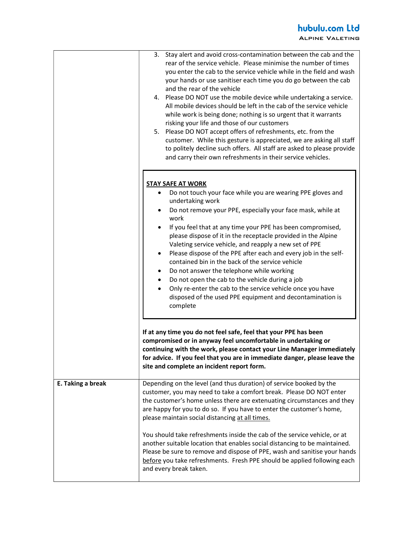|                   | Stay alert and avoid cross-contamination between the cab and the<br>3.<br>rear of the service vehicle. Please minimise the number of times<br>you enter the cab to the service vehicle while in the field and wash<br>your hands or use sanitiser each time you do go between the cab<br>and the rear of the vehicle<br>4. Please DO NOT use the mobile device while undertaking a service.<br>All mobile devices should be left in the cab of the service vehicle<br>while work is being done; nothing is so urgent that it warrants<br>risking your life and those of our customers<br>5. Please DO NOT accept offers of refreshments, etc. from the<br>customer. While this gesture is appreciated, we are asking all staff<br>to politely decline such offers. All staff are asked to please provide<br>and carry their own refreshments in their service vehicles. |
|-------------------|-------------------------------------------------------------------------------------------------------------------------------------------------------------------------------------------------------------------------------------------------------------------------------------------------------------------------------------------------------------------------------------------------------------------------------------------------------------------------------------------------------------------------------------------------------------------------------------------------------------------------------------------------------------------------------------------------------------------------------------------------------------------------------------------------------------------------------------------------------------------------|
|                   | <b>STAY SAFE AT WORK</b><br>Do not touch your face while you are wearing PPE gloves and<br>undertaking work<br>Do not remove your PPE, especially your face mask, while at<br>work<br>If you feel that at any time your PPE has been compromised,<br>please dispose of it in the receptacle provided in the Alpine<br>Valeting service vehicle, and reapply a new set of PPE<br>Please dispose of the PPE after each and every job in the self-<br>٠<br>contained bin in the back of the service vehicle<br>Do not answer the telephone while working<br>٠<br>Do not open the cab to the vehicle during a job<br>٠<br>Only re-enter the cab to the service vehicle once you have<br>disposed of the used PPE equipment and decontamination is<br>complete                                                                                                               |
|                   | If at any time you do not feel safe, feel that your PPE has been<br>compromised or in anyway feel uncomfortable in undertaking or<br>continuing with the work, please contact your Line Manager immediately<br>for advice. If you feel that you are in immediate danger, please leave the<br>site and complete an incident report form.                                                                                                                                                                                                                                                                                                                                                                                                                                                                                                                                 |
| E. Taking a break | Depending on the level (and thus duration) of service booked by the<br>customer, you may need to take a comfort break. Please DO NOT enter<br>the customer's home unless there are extenuating circumstances and they<br>are happy for you to do so. If you have to enter the customer's home,<br>please maintain social distancing at all times.                                                                                                                                                                                                                                                                                                                                                                                                                                                                                                                       |
|                   | You should take refreshments inside the cab of the service vehicle, or at<br>another suitable location that enables social distancing to be maintained.<br>Please be sure to remove and dispose of PPE, wash and sanitise your hands<br>before you take refreshments. Fresh PPE should be applied following each<br>and every break taken.                                                                                                                                                                                                                                                                                                                                                                                                                                                                                                                              |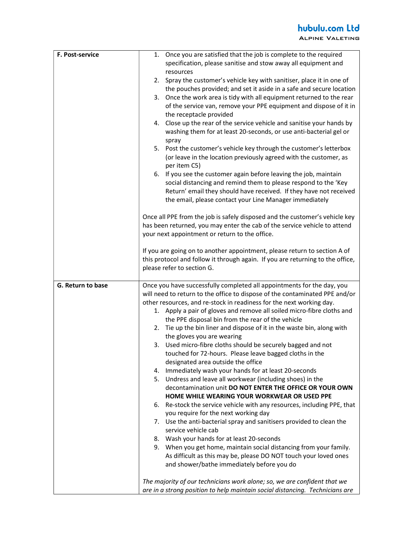| F. Post-service   | Once you are satisfied that the job is complete to the required<br>1.<br>specification, please sanitise and stow away all equipment and<br>resources<br>2. Spray the customer's vehicle key with sanitiser, place it in one of<br>the pouches provided; and set it aside in a safe and secure location<br>3. Once the work area is tidy with all equipment returned to the rear<br>of the service van, remove your PPE equipment and dispose of it in<br>the receptacle provided<br>4. Close up the rear of the service vehicle and sanitise your hands by<br>washing them for at least 20-seconds, or use anti-bacterial gel or<br>spray<br>5. Post the customer's vehicle key through the customer's letterbox<br>(or leave in the location previously agreed with the customer, as<br>per item C5)<br>6. If you see the customer again before leaving the job, maintain<br>social distancing and remind them to please respond to the 'Key<br>Return' email they should have received. If they have not received<br>the email, please contact your Line Manager immediately<br>Once all PPE from the job is safely disposed and the customer's vehicle key<br>has been returned, you may enter the cab of the service vehicle to attend<br>your next appointment or return to the office.<br>If you are going on to another appointment, please return to section A of<br>this protocol and follow it through again. If you are returning to the office,<br>please refer to section G.        |
|-------------------|--------------------------------------------------------------------------------------------------------------------------------------------------------------------------------------------------------------------------------------------------------------------------------------------------------------------------------------------------------------------------------------------------------------------------------------------------------------------------------------------------------------------------------------------------------------------------------------------------------------------------------------------------------------------------------------------------------------------------------------------------------------------------------------------------------------------------------------------------------------------------------------------------------------------------------------------------------------------------------------------------------------------------------------------------------------------------------------------------------------------------------------------------------------------------------------------------------------------------------------------------------------------------------------------------------------------------------------------------------------------------------------------------------------------------------------------------------------------------------------------------|
|                   |                                                                                                                                                                                                                                                                                                                                                                                                                                                                                                                                                                                                                                                                                                                                                                                                                                                                                                                                                                                                                                                                                                                                                                                                                                                                                                                                                                                                                                                                                                  |
| G. Return to base | Once you have successfully completed all appointments for the day, you<br>will need to return to the office to dispose of the contaminated PPE and/or<br>other resources, and re-stock in readiness for the next working day.<br>1. Apply a pair of gloves and remove all soiled micro-fibre cloths and<br>the PPE disposal bin from the rear of the vehicle<br>2. Tie up the bin liner and dispose of it in the waste bin, along with<br>the gloves you are wearing<br>3. Used micro-fibre cloths should be securely bagged and not<br>touched for 72-hours. Please leave bagged cloths in the<br>designated area outside the office<br>4. Immediately wash your hands for at least 20-seconds<br>Undress and leave all workwear (including shoes) in the<br>5.<br>decontamination unit DO NOT ENTER THE OFFICE OR YOUR OWN<br>HOME WHILE WEARING YOUR WORKWEAR OR USED PPE<br>6. Re-stock the service vehicle with any resources, including PPE, that<br>you require for the next working day<br>7. Use the anti-bacterial spray and sanitisers provided to clean the<br>service vehicle cab<br>8. Wash your hands for at least 20-seconds<br>9. When you get home, maintain social distancing from your family.<br>As difficult as this may be, please DO NOT touch your loved ones<br>and shower/bathe immediately before you do<br>The majority of our technicians work alone; so, we are confident that we<br>are in a strong position to help maintain social distancing. Technicians are |